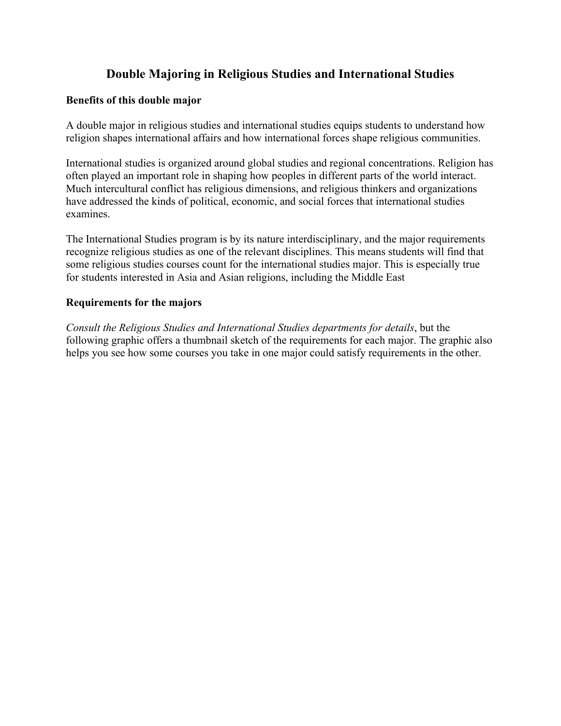# **Double Majoring in Religious Studies and International Studies**

## **Benefits of this double major**

A double major in religious studies and international studies equips students to understand how religion shapes international affairs and how international forces shape religious communities.

International studies is organized around global studies and regional concentrations. Religion has often played an important role in shaping how peoples in different parts of the world interact. Much intercultural conflict has religious dimensions, and religious thinkers and organizations have addressed the kinds of political, economic, and social forces that international studies examines.

The International Studies program is by its nature interdisciplinary, and the major requirements recognize religious studies as one of the relevant disciplines. This means students will find that some religious studies courses count for the international studies major. This is especially true for students interested in Asia and Asian religions, including the Middle East

### **Requirements for the majors**

*Consult the Religious Studies and International Studies departments for details*, but the following graphic offers a thumbnail sketch of the requirements for each major. The graphic also helps you see how some courses you take in one major could satisfy requirements in the other.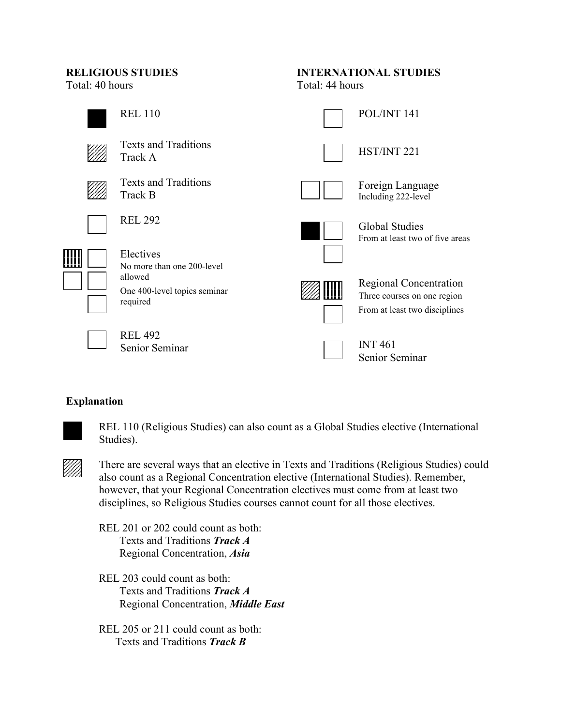Total: 40 hours Total: 44 hours

# **RELIGIOUS STUDIES INTERNATIONAL STUDIES**



# **Explanation**



REL 110 (Religious Studies) can also count as a Global Studies elective (International Studies).



There are several ways that an elective in Texts and Traditions (Religious Studies) could also count as a Regional Concentration elective (International Studies). Remember, however, that your Regional Concentration electives must come from at least two disciplines, so Religious Studies courses cannot count for all those electives.

REL 201 or 202 could count as both: Texts and Traditions *Track A* Regional Concentration, *Asia*

REL 203 could count as both: Texts and Traditions *Track A* Regional Concentration, *Middle East*

REL 205 or 211 could count as both: Texts and Traditions *Track B*